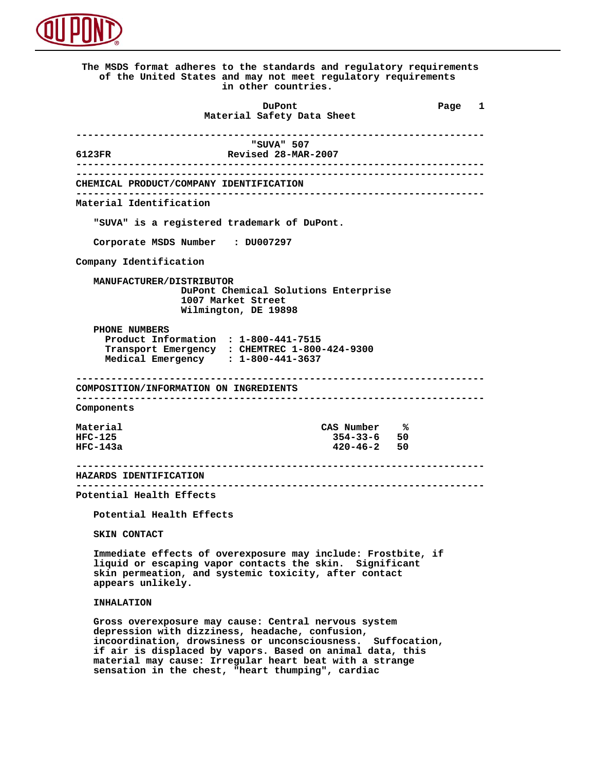

 **The MSDS format adheres to the standards and regulatory requirements of the United States and may not meet regulatory requirements in other countries. DuPont Different Page 1 Material Safety Data Sheet ---------------------------------------------------------------------- "SUVA" 507 6123FR Revised 28-MAR-2007 ---------------------------------------------------------------------- ---------------------------------------------------------------------- CHEMICAL PRODUCT/COMPANY IDENTIFICATION ---------------------------------------------------------------------- Material Identification "SUVA" is a registered trademark of DuPont. Corporate MSDS Number : DU007297 Company Identification MANUFACTURER/DISTRIBUTOR DuPont Chemical Solutions Enterprise 1007 Market Street Wilmington, DE 19898 PHONE NUMBERS Product Information : 1-800-441-7515 Transport Emergency : CHEMTREC 1-800-424-9300 Medical Emergency : 1-800-441-3637 ---------------------------------------------------------------------- COMPOSITION/INFORMATION ON INGREDIENTS ---------------------------------------------------------------------- Components Material** CAS Number %<br>HFC-125 354-33-6 50  **HFC-125 354-33-6 50 HFC-143a 420-46-2 50 ---------------------------------------------------------------------- HAZARDS IDENTIFICATION ---------------------------------------------------------------------- Potential Health Effects Potential Health Effects SKIN CONTACT Immediate effects of overexposure may include: Frostbite, if liquid or escaping vapor contacts the skin. Significant skin permeation, and systemic toxicity, after contact appears unlikely. INHALATION Gross overexposure may cause: Central nervous system depression with dizziness, headache, confusion, incoordination, drowsiness or unconsciousness. Suffocation, if air is displaced by vapors. Based on animal data, this material may cause: Irregular heart beat with a strange**

 **sensation in the chest, "heart thumping", cardiac**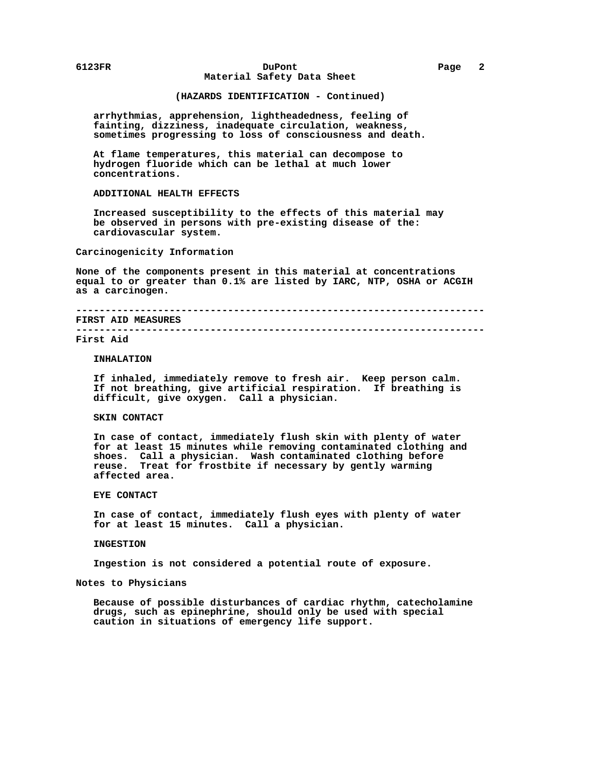# **6123FR DuPont Page 2 Material Safety Data Sheet**

# **(HAZARDS IDENTIFICATION - Continued)**

 **arrhythmias, apprehension, lightheadedness, feeling of fainting, dizziness, inadequate circulation, weakness, sometimes progressing to loss of consciousness and death.**

 **At flame temperatures, this material can decompose to hydrogen fluoride which can be lethal at much lower concentrations.**

 **ADDITIONAL HEALTH EFFECTS**

 **Increased susceptibility to the effects of this material may be observed in persons with pre-existing disease of the: cardiovascular system.**

 **Carcinogenicity Information**

 **None of the components present in this material at concentrations equal to or greater than 0.1% are listed by IARC, NTP, OSHA or ACGIH as a carcinogen.**

# **---------------------------------------------------------------------- FIRST AID MEASURES**

 **----------------------------------------------------------------------**

# **First Aid**

## **INHALATION**

 **If inhaled, immediately remove to fresh air. Keep person calm. If not breathing, give artificial respiration. If breathing is difficult, give oxygen. Call a physician.**

# **SKIN CONTACT**

 **In case of contact, immediately flush skin with plenty of water for at least 15 minutes while removing contaminated clothing and shoes. Call a physician. Wash contaminated clothing before reuse. Treat for frostbite if necessary by gently warming affected area.**

#### **EYE CONTACT**

 **In case of contact, immediately flush eyes with plenty of water for at least 15 minutes. Call a physician.**

# **INGESTION**

 **Ingestion is not considered a potential route of exposure.**

 **Notes to Physicians**

 **Because of possible disturbances of cardiac rhythm, catecholamine drugs, such as epinephrine, should only be used with special caution in situations of emergency life support.**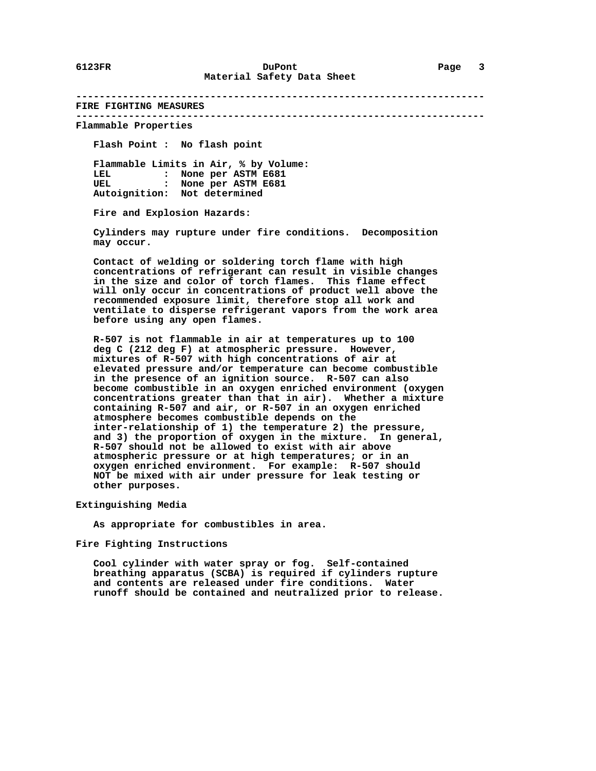**----------------------------------------------------------------------**

 **FIRE FIGHTING MEASURES ----------------------------------------------------------------------**

 **Flammable Properties**

 **Flash Point : No flash point**

 **Flammable Limits in Air, % by Volume: LEL : None per ASTM E681 UEL : None per ASTM E681 Autoignition: Not determined**

 **Fire and Explosion Hazards:**

 **Cylinders may rupture under fire conditions. Decomposition may occur.**

 **Contact of welding or soldering torch flame with high concentrations of refrigerant can result in visible changes in the size and color of torch flames. This flame effect will only occur in concentrations of product well above the recommended exposure limit, therefore stop all work and ventilate to disperse refrigerant vapors from the work area before using any open flames.**

 **R-507 is not flammable in air at temperatures up to 100 deg C (212 deg F) at atmospheric pressure. However, mixtures of R-507 with high concentrations of air at elevated pressure and/or temperature can become combustible in the presence of an ignition source. R-507 can also become combustible in an oxygen enriched environment (oxygen concentrations greater than that in air). Whether a mixture containing R-507 and air, or R-507 in an oxygen enriched atmosphere becomes combustible depends on the inter-relationship of 1) the temperature 2) the pressure, and 3) the proportion of oxygen in the mixture. In general, R-507 should not be allowed to exist with air above atmospheric pressure or at high temperatures; or in an oxygen enriched environment. For example: R-507 should NOT be mixed with air under pressure for leak testing or other purposes.**

 **Extinguishing Media**

 **As appropriate for combustibles in area.**

 **Fire Fighting Instructions**

 **Cool cylinder with water spray or fog. Self-contained breathing apparatus (SCBA) is required if cylinders rupture and contents are released under fire conditions. Water runoff should be contained and neutralized prior to release.**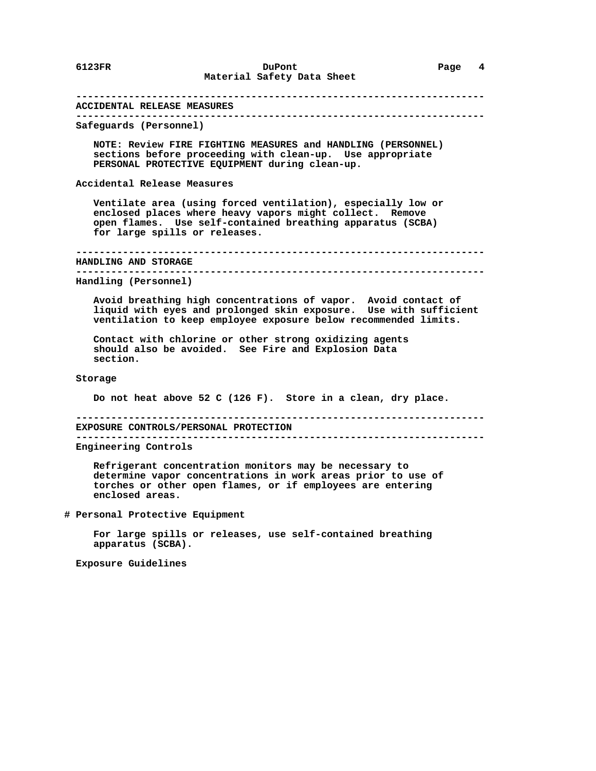# **---------------------------------------------------------------------- ACCIDENTAL RELEASE MEASURES ---------------------------------------------------------------------- Safeguards (Personnel) NOTE: Review FIRE FIGHTING MEASURES and HANDLING (PERSONNEL) sections before proceeding with clean-up. Use appropriate PERSONAL PROTECTIVE EQUIPMENT during clean-up. Accidental Release Measures Ventilate area (using forced ventilation), especially low or enclosed places where heavy vapors might collect. Remove open flames. Use self-contained breathing apparatus (SCBA) for large spills or releases. ---------------------------------------------------------------------- HANDLING AND STORAGE ---------------------------------------------------------------------- Handling (Personnel) Avoid breathing high concentrations of vapor. Avoid contact of liquid with eyes and prolonged skin exposure. Use with sufficient ventilation to keep employee exposure below recommended limits. Contact with chlorine or other strong oxidizing agents should also be avoided. See Fire and Explosion Data section. Storage Do not heat above 52 C (126 F). Store in a clean, dry place. ---------------------------------------------------------------------- EXPOSURE CONTROLS/PERSONAL PROTECTION ---------------------------------------------------------------------- Engineering Controls Refrigerant concentration monitors may be necessary to determine vapor concentrations in work areas prior to use of torches or other open flames, or if employees are entering enclosed areas. # Personal Protective Equipment For large spills or releases, use self-contained breathing apparatus (SCBA). Exposure Guidelines**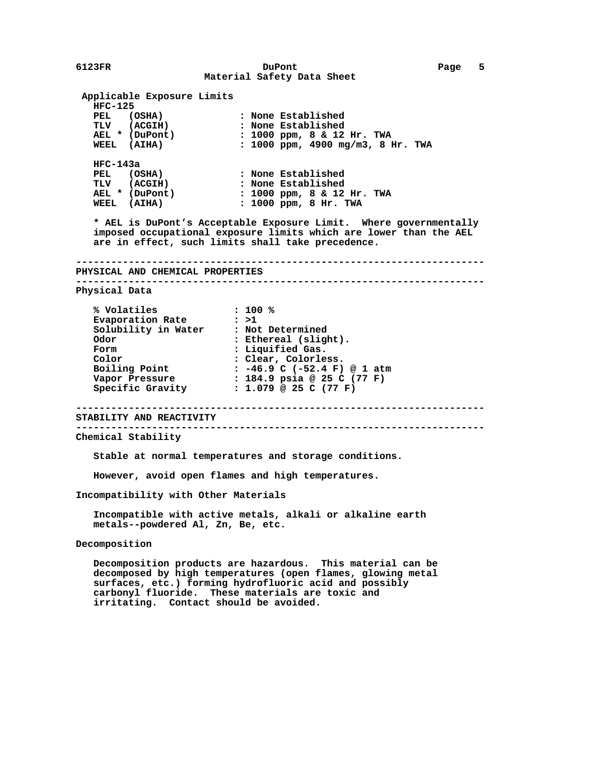**6123FR DuPont Page 5 Material Safety Data Sheet Applicable Exposure Limits HFC-125 PEL (OSHA) : None Established TLV (ACGIH) : None Established AEL \* (DuPont) : 1000 ppm, 8 & 12 Hr. TWA WEEL (AIHA) : 1000 ppm, 4900 mg/m3, 8 Hr. TWA HFC-143a PEL (OSHA) : None Established TLV (ACGIH) : None Established AEL \* (DuPont) : 1000 ppm, 8 & 12 Hr. TWA WEEL (AIHA) : 1000 ppm, 8 Hr. TWA \* AEL is DuPont's Acceptable Exposure Limit. Where governmentally imposed occupational exposure limits which are lower than the AEL are in effect, such limits shall take precedence. ---------------------------------------------------------------------- PHYSICAL AND CHEMICAL PROPERTIES ---------------------------------------------------------------------- Physical Data % Volatiles : 100 % Evaporation Rate : >1 Solubility in Water : Not Determined Odor : Ethereal (slight).** Form : Liquified Gas. **Color : Clear, Colorless.**<br>**Boiling Point : -46.9 C (-52.4 F) Boiling Point : -46.9 C (-52.4 F) @ 1 atm**<br>Vapor Pressure : 184.9 psia @ 25 C (77 F)<br>Specific Cressity **: 184.9 psia @ 25 C (77 F) Specific Gravity : 1.079 @ 25 C (77 F) ---------------------------------------------------------------------- STABILITY AND REACTIVITY ---------------------------------------------------------------------- Chemical Stability Stable at normal temperatures and storage conditions. However, avoid open flames and high temperatures. Incompatibility with Other Materials Incompatible with active metals, alkali or alkaline earth metals--powdered Al, Zn, Be, etc. Decomposition Decomposition products are hazardous. This material can be decomposed by high temperatures (open flames, glowing metal**

 **surfaces, etc.) forming hydrofluoric acid and possibly carbonyl fluoride. These materials are toxic and irritating. Contact should be avoided.**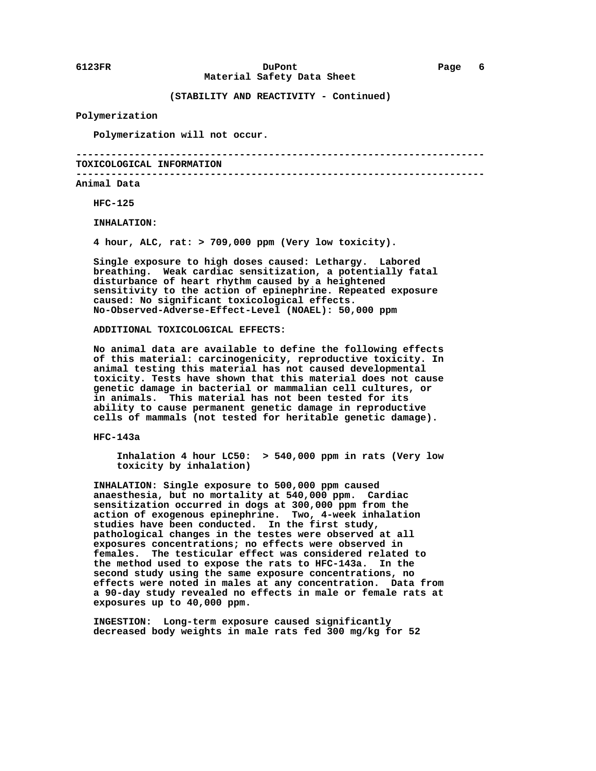**(STABILITY AND REACTIVITY - Continued)**

## **Polymerization**

 **Polymerization will not occur.**

 **---------------------------------------------------------------------- TOXICOLOGICAL INFORMATION**

 **----------------------------------------------------------------------**

## **Animal Data**

 **HFC-125**

 **INHALATION:**

 **4 hour, ALC, rat: > 709,000 ppm (Very low toxicity).**

 **Single exposure to high doses caused: Lethargy. Labored breathing. Weak cardiac sensitization, a potentially fatal disturbance of heart rhythm caused by a heightened sensitivity to the action of epinephrine. Repeated exposure caused: No significant toxicological effects. No-Observed-Adverse-Effect-Level (NOAEL): 50,000 ppm**

## **ADDITIONAL TOXICOLOGICAL EFFECTS:**

 **No animal data are available to define the following effects of this material: carcinogenicity, reproductive toxicity. In animal testing this material has not caused developmental toxicity. Tests have shown that this material does not cause genetic damage in bacterial or mammalian cell cultures, or in animals. This material has not been tested for its ability to cause permanent genetic damage in reproductive cells of mammals (not tested for heritable genetic damage).**

 **HFC-143a**

 **Inhalation 4 hour LC50: > 540,000 ppm in rats (Very low toxicity by inhalation)**

 **INHALATION: Single exposure to 500,000 ppm caused anaesthesia, but no mortality at 540,000 ppm. Cardiac sensitization occurred in dogs at 300,000 ppm from the action of exogenous epinephrine. Two, 4-week inhalation studies have been conducted. In the first study, pathological changes in the testes were observed at all exposures concentrations; no effects were observed in females. The testicular effect was considered related to the method used to expose the rats to HFC-143a. In the second study using the same exposure concentrations, no effects were noted in males at any concentration. Data from a 90-day study revealed no effects in male or female rats at exposures up to 40,000 ppm.**

 **INGESTION: Long-term exposure caused significantly decreased body weights in male rats fed 300 mg/kg for 52**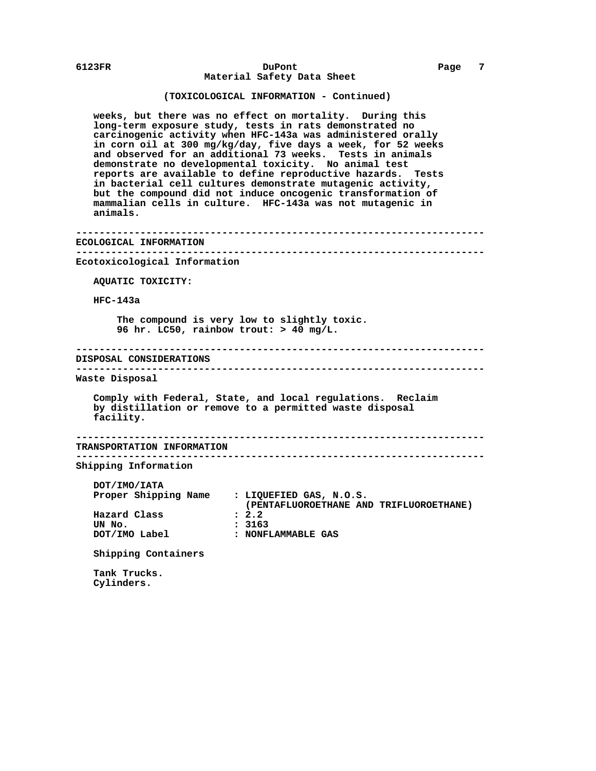# **(TOXICOLOGICAL INFORMATION - Continued)**

 **weeks, but there was no effect on mortality. During this long-term exposure study, tests in rats demonstrated no carcinogenic activity when HFC-143a was administered orally in corn oil at 300 mg/kg/day, five days a week, for 52 weeks and observed for an additional 73 weeks. Tests in animals demonstrate no developmental toxicity. No animal test reports are available to define reproductive hazards. Tests in bacterial cell cultures demonstrate mutagenic activity, but the compound did not induce oncogenic transformation of mammalian cells in culture. HFC-143a was not mutagenic in animals.**

 **---------------------------------------------------------------------- ECOLOGICAL INFORMATION ---------------------------------------------------------------------- Ecotoxicological Information AQUATIC TOXICITY: HFC-143a The compound is very low to slightly toxic. 96 hr. LC50, rainbow trout: > 40 mg/L. ---------------------------------------------------------------------- DISPOSAL CONSIDERATIONS ---------------------------------------------------------------------- Waste Disposal Comply with Federal, State, and local regulations. Reclaim by distillation or remove to a permitted waste disposal facility. ---------------------------------------------------------------------- TRANSPORTATION INFORMATION ---------------------------------------------------------------------- Shipping Information DOT/IMO/IATA Proper Shipping Name : LIQUEFIED GAS, N.O.S. (PENTAFLUOROETHANE AND TRIFLUOROETHANE) Hazard Class<br>UN No. UN No. : 3163 : NONFLAMMABLE GAS Shipping Containers Tank Trucks.**

 **Cylinders.**